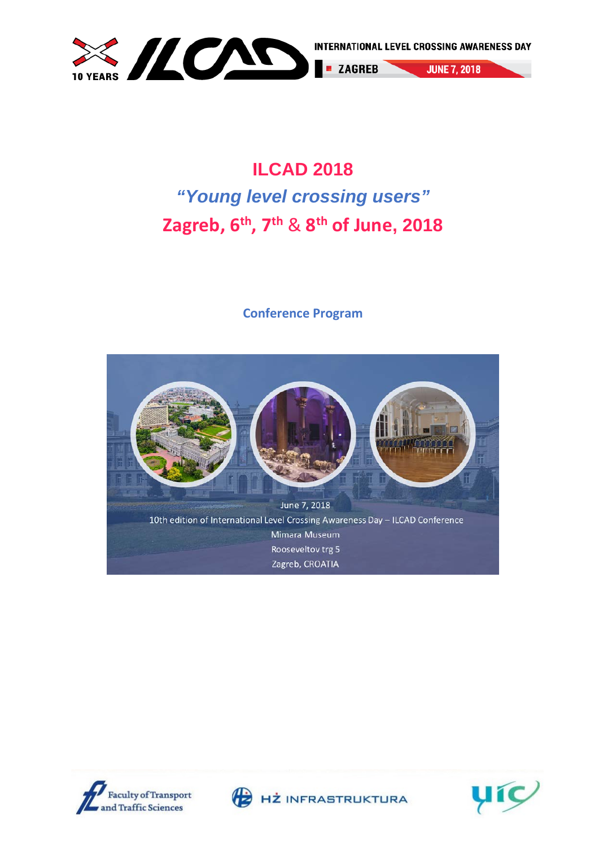

**JUNE 7, 2018** 

# **ILCAD 2018**  *"Young level crossing users"* **Zagreb, 6th, 7th** & **8th of June, 2018**

#### **Conference Program**







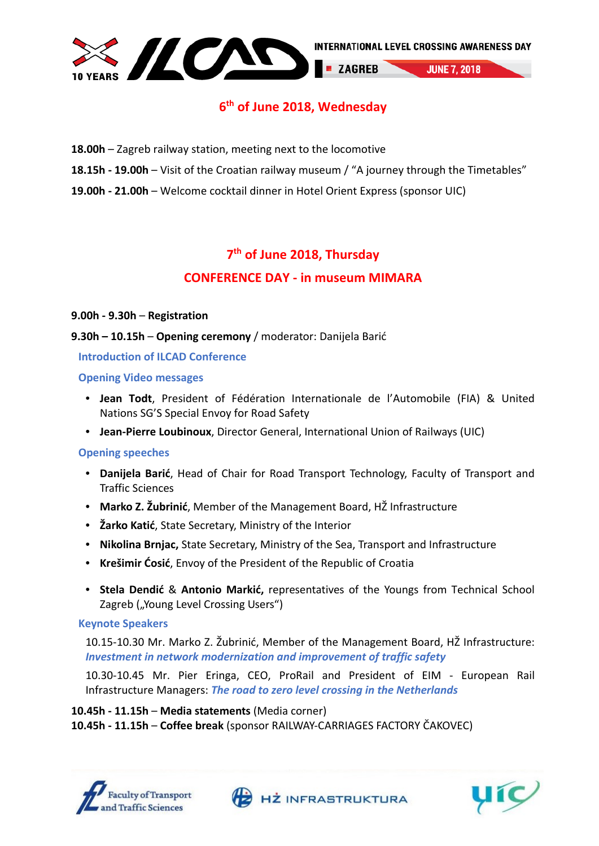

#### **6th of June 2018, Wednesday**

- **18.00h** Zagreb railway station, meeting next to the locomotive
- **18.15h - 19.00h** Visit of the Croatian railway museum / "A journey through the Timetables"
- **19.00h - 21.00h** Welcome cocktail dinner in Hotel Orient Express (sponsor UIC)

### **7th of June 2018, Thursday CONFERENCE DAY - in museum MIMARA**

#### **9.00h - 9.30h** – **Registration**

**9.30h – 10.15h** – **Opening ceremony** / moderator: Danijela Barić

#### **Introduction of ILCAD Conference**

#### **Opening Video messages**

- **Jean Todt**, President of Fédération Internationale de l'Automobile (FIA) & United Nations SG'S Special Envoy for Road Safety
- **Jean-Pierre Loubinoux**, Director General, International Union of Railways (UIC)

#### **Opening speeches**

- **Danijela Barić**, Head of Chair for Road Transport Technology, Faculty of Transport and Traffic Sciences
- **Marko Z. Žubrinić**, Member of the Management Board, HŽ Infrastructure
- **Žarko Katić**, State Secretary, Ministry of the Interior
- **Nikolina Brnjac,** State Secretary, Ministry of the Sea, Transport and Infrastructure
- **Krešimir Ćosić**, Envoy of the President of the Republic of Croatia
- **Stela Dendić** & **Antonio Markić,** representatives of the Youngs from Technical School Zagreb ("Young Level Crossing Users")

#### **Keynote Speakers**

10.15-10.30 Mr. Marko Z. Žubrinić, Member of the Management Board, HŽ Infrastructure: *Investment in network modernization and improvement of traffic safety*

10.30-10.45 Mr. Pier Eringa, CEO, ProRail and President of EIM - European Rail Infrastructure Managers: *The road to zero level crossing in the Netherlands*

**10.45h - 11.15h** – **Media statements** (Media corner) **10.45h - 11.15h** – **Coffee break** (sponsor RAILWAY-CARRIAGES FACTORY ČAKOVEC)







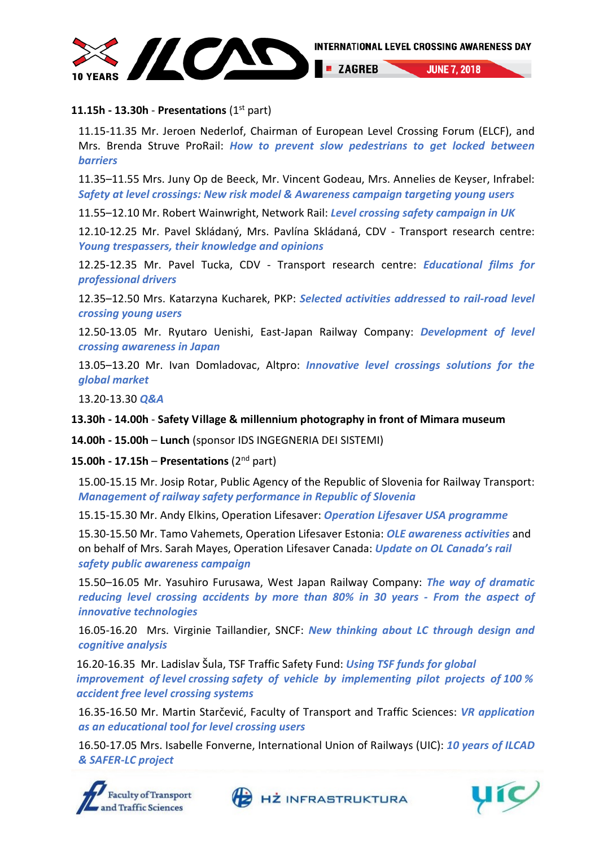

#### **11.15h - 13.30h** - **Presentations** (1st part)

11.15-11.35 Mr. Jeroen Nederlof, Chairman of European Level Crossing Forum (ELCF), and Mrs. Brenda Struve ProRail: *How to prevent slow pedestrians to get locked between barriers*

11.35–11.55 Mrs. Juny Op de Beeck, Mr. Vincent Godeau, Mrs. Annelies de Keyser, Infrabel: *Safety at level crossings: New risk model & Awareness campaign targeting young users*

11.55–12.10 Mr. Robert Wainwright, Network Rail: *Level crossing safety campaign in UK*

12.10-12.25 Mr. Pavel Skládaný, Mrs. Pavlína Skládaná, CDV - Transport research centre: *Young trespassers, their knowledge and opinions*

12.25-12.35 Mr. Pavel Tucka, CDV - Transport research centre: *Educational films for professional drivers*

12.35–12.50 Mrs. Katarzyna Kucharek, PKP: *Selected activities addressed to rail-road level crossing young users*

12.50-13.05 Mr. Ryutaro Uenishi, East-Japan Railway Company: *Development of level crossing awareness in Japan*

13.05–13.20 Mr. Ivan Domladovac, Altpro: *Innovative level crossings solutions for the global market*

13.20-13.30 *Q&A*

**13.30h - 14.00h** - **Safety Village & millennium photography in front of Mimara museum**

**14.00h - 15.00h** – **Lunch** (sponsor IDS INGEGNERIA DEI SISTEMI)

**15.00h - 17.15h** – **Presentations** (2nd part)

15.00-15.15 Mr. Josip Rotar, Public Agency of the Republic of Slovenia for Railway Transport: *Management of railway safety performance in Republic of Slovenia*

15.15-15.30 Mr. Andy Elkins, Operation Lifesaver: *Operation Lifesaver USA programme*

15.30-15.50 Mr. Tamo Vahemets, Operation Lifesaver Estonia: *OLE awareness activities* and on behalf of Mrs. Sarah Mayes, Operation Lifesaver Canada: *Update on OL Canada's rail safety public awareness campaign*

15.50–16.05 Mr. Yasuhiro Furusawa, West Japan Railway Company: *The way of dramatic reducing level crossing accidents by more than 80% in 30 years - From the aspect of innovative technologies*

16.05-16.20 Mrs. Virginie Taillandier, SNCF: *New thinking about LC through design and cognitive analysis*

16.20-16.35 Mr. Ladislav Šula, TSF Traffic Safety Fund: *Using TSF funds for global improvement of level crossing safety of vehicle by implementing pilot projects of 100 % accident free level crossing systems* 

16.35-16.50 Mr. Martin Starčević, Faculty of Transport and Traffic Sciences: *VR application as an educational tool for level crossing users*

16.50-17.05 Mrs. Isabelle Fonverne, International Union of Railways (UIC): *10 years of ILCAD & SAFER-LC project*





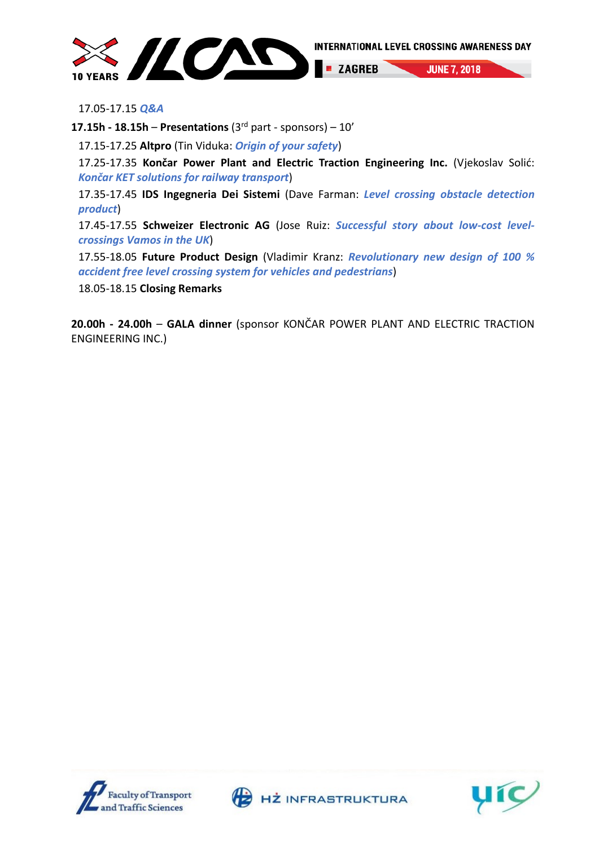

17.05-17.15 *Q&A*

**17.15h - 18.15h – Presentations** ( $3^{rd}$  part - sponsors) –  $10'$ 

17.15-17.25 **Altpro** (Tin Viduka: *Origin of your safety*)

17.25-17.35 **Končar Power Plant and Electric Traction Engineering Inc.** (Vjekoslav Solić: *Končar KET solutions for railway transport*)

17.35-17.45 **IDS Ingegneria Dei Sistemi** (Dave Farman: *Level crossing obstacle detection product*)

17.45-17.55 **Schweizer Electronic AG** (Jose Ruiz: *Successful story about low-cost levelcrossings Vamos in the UK*)

17.55-18.05 **Future Product Design** (Vladimir Kranz: *Revolutionary new design of 100 % accident free level crossing system for vehicles and pedestrians*)

18.05-18.15 **Closing Remarks**

**20.00h - 24.00h** – **GALA dinner** (sponsor KONČAR POWER PLANT AND ELECTRIC TRACTION ENGINEERING INC.)







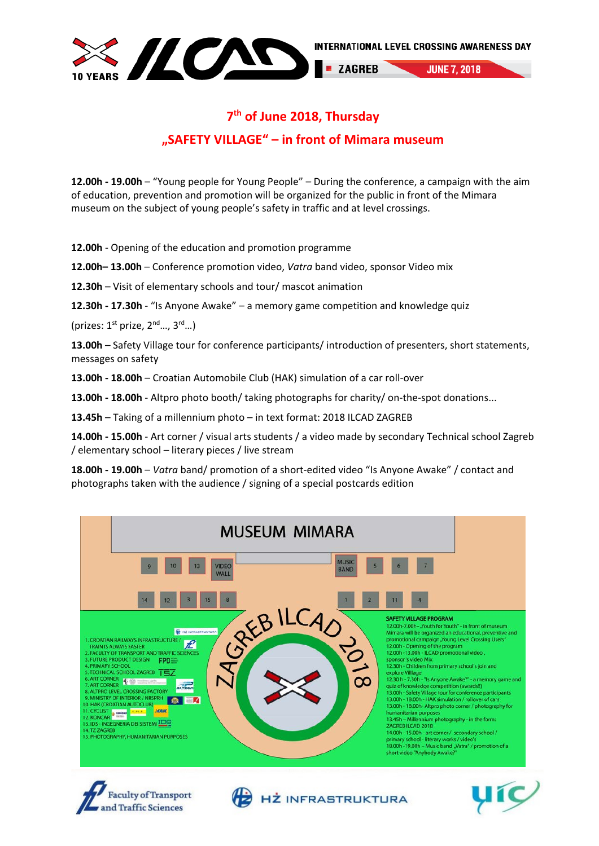

### **7th of June 2018, Thursday "SAFETY VILLAGE" – in front of Mimara museum**

**12.00h - 19.00h** – "Young people for Young People" – During the conference, a campaign with the aim of education, prevention and promotion will be organized for the public in front of the Mimara museum on the subject of young people's safety in traffic and at level crossings.

**12.00h** - Opening of the education and promotion programme

**12.00h– 13.00h** – Conference promotion video, *Vatra* band video, sponsor Video mix

**12.30h** – Visit of elementary schools and tour/ mascot animation

**12.30h - 17.30h** - "Is Anyone Awake" – a memory game competition and knowledge quiz

(prizes:  $1^{st}$  prize,  $2^{nd}$  ...,  $3^{rd}$  ...)

**13.00h** – Safety Village tour for conference participants/ introduction of presenters, short statements, messages on safety

**13.00h - 18.00h** – Croatian Automobile Club (HAK) simulation of a car roll-over

**13.00h - 18.00h** - Altpro photo booth/ taking photographs for charity/ on-the-spot donations...

**13.45h** – Taking of a millennium photo – in text format: 2018 ILCAD ZAGREB

**14.00h - 15.00h** - Art corner / visual arts students / a video made by secondary Technical school Zagreb / elementary school – literary pieces / live stream

**18.00h - 19.00h** – *Vatra* band/ promotion of a short-edited video "Is Anyone Awake" / contact and photographs taken with the audience / signing of a special postcards edition







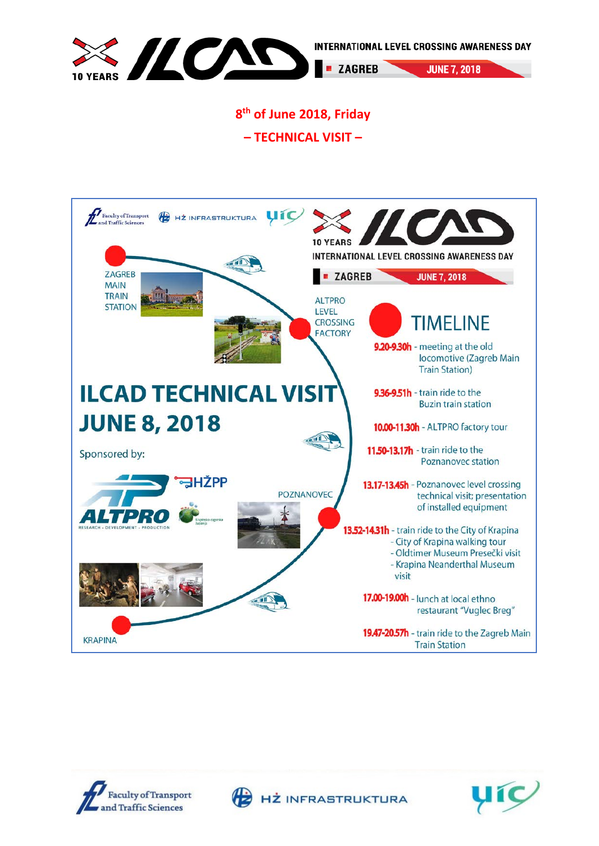

## **8th of June 2018, Friday**

**– TECHNICAL VISIT –**







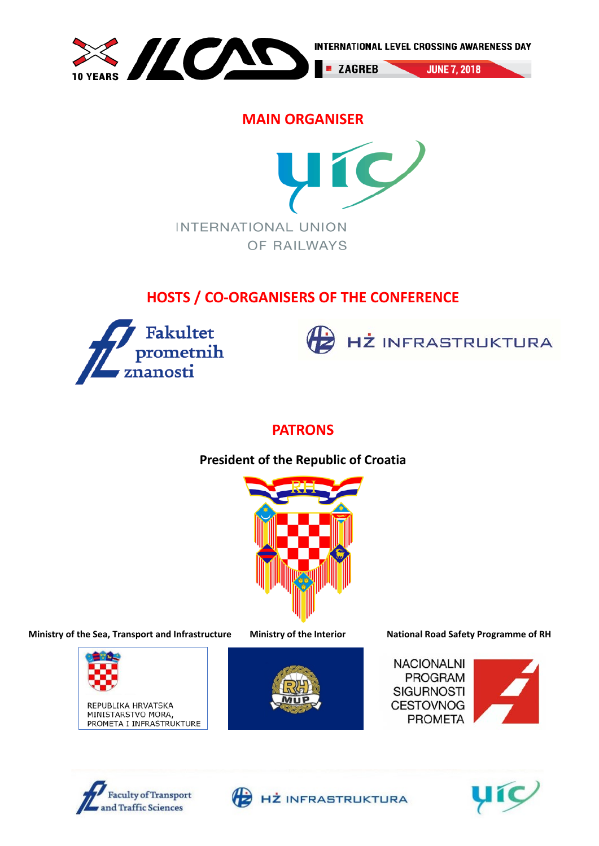

### **MAIN ORGANISER**



# **HOSTS / CO-ORGANISERS OF THE CONFERENCE**





### **PATRONS**

### **President of the Republic of Croatia**



**Ministry of the Sea, Transport and Infrastructure Ministry of the Interior National Road Safety Programme of RH**



REPUBLIKA HRVATSKA MINISTARSTVO MORA. PROMETA I INFRASTRUKTURE